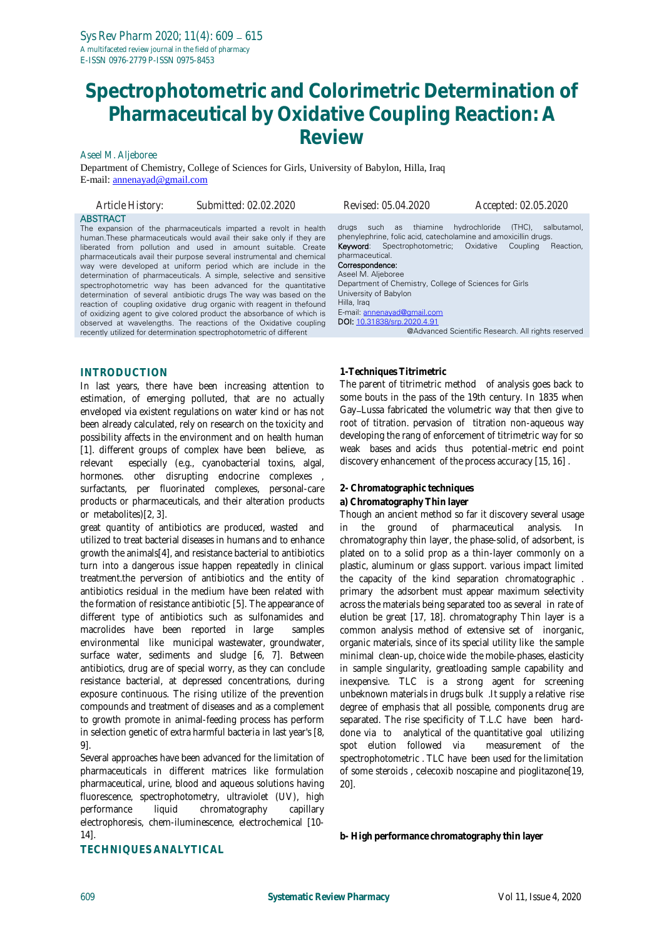# **Spectrophotometric and Colorimetric Determination of Pharmaceutical by Oxidative Coupling Reaction: A Review**

Aseel M. Aljeboree

Department of Chemistry, College of Sciences for Girls, University of Babylon, Hilla, Iraq E-mail: [annenayad@gmail.com](mailto:annenayad@gmail.com)

| Article History: | Submitted: 02.02.2020                                                                                                                                                                                                                                                                                                                                                                                                                                                                                                                                                                                                                                                                                                                                                                                                                                         | Revised: 05.04.2020                                                                                                                                                                                                                                                                                                                                                 | Accepted: 02.05.2020                                                                                                           |
|------------------|---------------------------------------------------------------------------------------------------------------------------------------------------------------------------------------------------------------------------------------------------------------------------------------------------------------------------------------------------------------------------------------------------------------------------------------------------------------------------------------------------------------------------------------------------------------------------------------------------------------------------------------------------------------------------------------------------------------------------------------------------------------------------------------------------------------------------------------------------------------|---------------------------------------------------------------------------------------------------------------------------------------------------------------------------------------------------------------------------------------------------------------------------------------------------------------------------------------------------------------------|--------------------------------------------------------------------------------------------------------------------------------|
| <b>ABSTRACT</b>  | The expansion of the pharmaceuticals imparted a revolt in health<br>human. These pharmaceuticals would avail their sake only if they are<br>liberated from pollution and used in amount suitable. Create<br>pharmaceuticals avail their purpose several instrumental and chemical<br>way were developed at uniform period which are include in the<br>determination of pharmaceuticals. A simple, selective and sensitive<br>spectrophotometric way has been advanced for the quantitative<br>determination of several antibiotic drugs The way was based on the<br>reaction of coupling oxidative drug organic with reagent in the found<br>of oxidizing agent to give colored product the absorbance of which is<br>observed at wavelengths. The reactions of the Oxidative coupling<br>recently utilized for determination spectrophotometric of different | such<br>as<br>drugs<br>phenylephrine, folic acid, catecholamine and amoxicillin drugs.<br><b>Keyword:</b> Spectrophotometric; Oxidative<br>pharmaceutical.<br>Correspondence:<br>Aseel M. Aljeboree<br>Department of Chemistry, College of Sciences for Girls<br>University of Babylon<br>Hilla, Iraq<br>E-mail: annenayad@gmail.com<br>DOI: 10.31838/srp.2020.4.91 | thiamine hydrochloride<br>(THC).<br>salbutamol.<br>Coupling<br>Reaction.<br>@Advanced Scientific Research. All rights reserved |
|                  |                                                                                                                                                                                                                                                                                                                                                                                                                                                                                                                                                                                                                                                                                                                                                                                                                                                               |                                                                                                                                                                                                                                                                                                                                                                     |                                                                                                                                |

## **INTRODUCTION**

In last years, there have been increasing attention to estimation, of emerging polluted, that are no actually enveloped via existent regulations on water kind or has not been already calculated, rely on research on the toxicity and possibility affects in the environment and on health human [1]. different groups of complex have been believe, as relevant especially (e.g., cyanobacterial toxins, algal, hormones. other disrupting endocrine complexes , surfactants, per fluorinated complexes, personal-care products or pharmaceuticals, and their alteration products or metabolites)[2, 3].

great quantity of antibiotics are produced, wasted and utilized to treat bacterial diseases in humans and to enhance growth the animals[4], and resistance bacterial to antibiotics turn into a dangerous issue happen repeatedly in clinical treatment.the perversion of antibiotics and the entity of antibiotics residual in the medium have been related with the formation of resistance antibiotic [5]. The appearance of different type of antibiotics such as sulfonamides and macrolides have been reported in large samples environmental like municipal wastewater, groundwater, surface water, sediments and sludge [6, 7]. Between antibiotics, drug are of special worry, as they can conclude resistance bacterial, at depressed concentrations, during exposure continuous. The rising utilize of the prevention compounds and treatment of diseases and as a complement to growth promote in animal-feeding process has perform in selection genetic of extra harmful bacteria in last year's [8, 9].

Several approaches have been advanced for the limitation of pharmaceuticals in different matrices like formulation pharmaceutical, urine, blood and aqueous solutions having fluorescence, spectrophotometry, ultraviolet (UV), high performance liquid chromatography capillary electrophoresis, chem-iluminescence, electrochemical [10- 14].

**TECHNIQUES ANALYTICAL** 

#### **1-Techniques Titrimetric**

The parent of titrimetric method of analysis goes back to some bouts in the pass of the 19th century. In 1835 when Gay–Lussa fabricated the volumetric way that then give to root of titration. pervasion of titration non-aqueous way developing the rang of enforcement of titrimetric way for so weak bases and acids thus potential-metric end point discovery enhancement of the process accuracy [15, 16] .

**2- Chromatographic techniques**

**a) Chromatography Thin layer** 

Though an ancient method so far it discovery several usage in the ground of pharmaceutical analysis. In chromatography thin layer, the phase-solid, of adsorbent, is plated on to a solid prop as a thin-layer commonly on a plastic, aluminum or glass support. various impact limited the capacity of the kind separation chromatographic . primary the adsorbent must appear maximum selectivity across the materials being separated too as several in rate of elution be great [17, 18]. chromatography Thin layer is a common analysis method of extensive set of inorganic, organic materials, since of its special utility like the sample minimal clean-up, choice wide the mobile-phases, elasticity in sample singularity, greatloading sample capability and inexpensive. TLC is a strong agent for screening unbeknown materials in drugs bulk .It supply a relative rise degree of emphasis that all possible, components drug are separated. The rise specificity of T.L.C have been harddone via to analytical of the quantitative goal utilizing spot elution followed via measurement of the spectrophotometric . TLC have been used for the limitation of some steroids , celecoxib noscapine and pioglitazone[19, 20].

**b- High performance chromatography thin layer**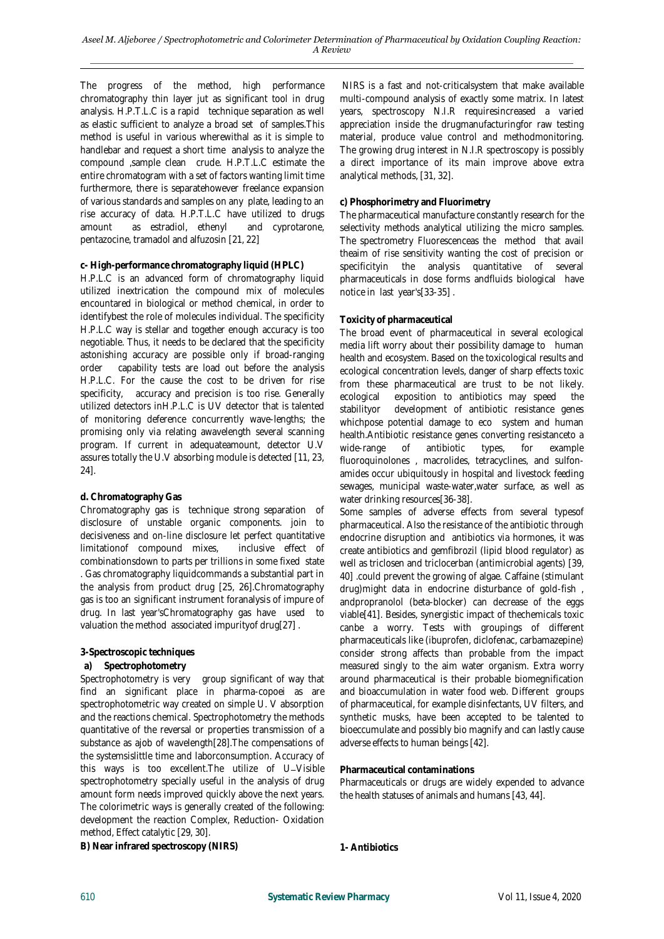The progress of the method, high performance chromatography thin layer jut as significant tool in drug analysis. H.P.T.L.C is a rapid technique separation as well as elastic sufficient to analyze a broad set of samples.This method is useful in various wherewithal as it is simple to handlebar and request a short time analysis to analyze the compound ,sample clean crude. H.P.T.L.C estimate the entire chromatogram with a set of factors wanting limit time furthermore, there is separatehowever freelance expansion of various standards and samples on any plate, leading to an rise accuracy of data. H.P.T.L.C have utilized to drugs amount as estradiol, ethenyl and cyprotarone, pentazocine, tramadol and alfuzosin [21, 22]

## **c- High-performance chromatography liquid (HPLC)**

H.P.L.C is an advanced form of chromatography liquid utilized inextrication the compound mix of molecules encountared in biological or method chemical, in order to identifybest the role of molecules individual. The specificity H.P.L.C way is stellar and together enough accuracy is too negotiable. Thus, it needs to be declared that the specificity astonishing accuracy are possible only if broad-ranging order capability tests are load out before the analysis H.P.L.C. For the cause the cost to be driven for rise specificity, accuracy and precision is too rise. Generally utilized detectors inH.P.L.C is UV detector that is talented of monitoring deference concurrently wave-lengths; the promising only via relating awavelength several scanning program. If current in adequateamount, detector U.V assures totally the U.V absorbing module is detected [11, 23, 24].

## **d. Chromatography Gas**

Chromatography gas is technique strong separation of disclosure of unstable organic components. join to decisiveness and on-line disclosure let perfect quantitative limitationof compound mixes, inclusive effect of combinationsdown to parts per trillions in some fixed state . Gas chromatography liquidcommands a substantial part in the analysis from product drug [25, 26].Chromatography gas is too an significant instrument foranalysis of impure of drug. In last year'sChromatography gas have used to valuation the method associated impurityof drug[27] .

#### **3-Spectroscopic techniques**

#### **a) Spectrophotometry**

Spectrophotometry is very group significant of way that find an significant place in pharma-copoei as are spectrophotometric way created on simple U. V absorption and the reactions chemical. Spectrophotometry the methods quantitative of the reversal or properties transmission of a substance as ajob of wavelength[28].The compensations of the systemsislittle time and laborconsumption. Accuracy of this ways is too excellent. The utilize of U-Visible spectrophotometry specially useful in the analysis of drug amount form needs improved quickly above the next years. The colorimetric ways is generally created of the following: development the reaction Complex, Reduction- Oxidation method, Effect catalytic [29, 30].

**B) Near infrared spectroscopy (NIRS)**

NIRS is a fast and not-criticalsystem that make available multi-compound analysis of exactly some matrix. In latest years, spectroscopy N.I.R requiresincreased a varied appreciation inside the drugmanufacturingfor raw testing material, produce value control and methodmonitoring. The growing drug interest in N.I.R spectroscopy is possibly a direct importance of its main improve above extra analytical methods, [31, 32].

#### **c) Phosphorimetry and Fluorimetry**

The pharmaceutical manufacture constantly research for the selectivity methods analytical utilizing the micro samples. The spectrometry Fluorescenceas the method that avail theaim of rise sensitivity wanting the cost of precision or specificityin the analysis quantitative of several pharmaceuticals in dose forms andfluids biological have notice in last year's[33-35] .

## **Toxicity of pharmaceutical**

The broad event of pharmaceutical in several ecological media lift worry about their possibility damage to human health and ecosystem. Based on the toxicological results and ecological concentration levels, danger of sharp effects toxic from these pharmaceutical are trust to be not likely. ecological exposition to antibiotics may speed the stabilityor development of antibiotic resistance genes whichpose potential damage to eco system and human health.Antibiotic resistance genes converting resistanceto a wide-range of antibiotic types, for example fluoroquinolones , macrolides, tetracyclines, and sulfonamides occur ubiquitously in hospital and livestock feeding sewages, municipal waste-water,water surface, as well as water drinking resources[36-38].

Some samples of adverse effects from several typesof pharmaceutical. Also the resistance of the antibiotic through endocrine disruption and antibiotics via hormones, it was create antibiotics and gemfibrozil (lipid blood regulator) as well as triclosen and triclocerban (antimicrobial agents) [39, 40] .could prevent the growing of algae. Caffaine (stimulant drug)might data in endocrine disturbance of gold-fish , andpropranolol (beta-blocker) can decrease of the eggs viable[41]. Besides, synergistic impact of thechemicals toxic canbe a worry. Tests with groupings of different pharmaceuticals like (ibuprofen, diclofenac, carbamazepine) consider strong affects than probable from the impact measured singly to the aim water organism. Extra worry around pharmaceutical is their probable biomegnification and bioaccumulation in water food web. Different groups of pharmaceutical, for example disinfectants, UV filters, and synthetic musks, have been accepted to be talented to bioeccumulate and possibly bio magnify and can lastly cause adverse effects to human beings [42].

#### **Pharmaceutical contaminations**

Pharmaceuticals or drugs are widely expended to advance the health statuses of animals and humans [43, 44].

**1- Antibiotics**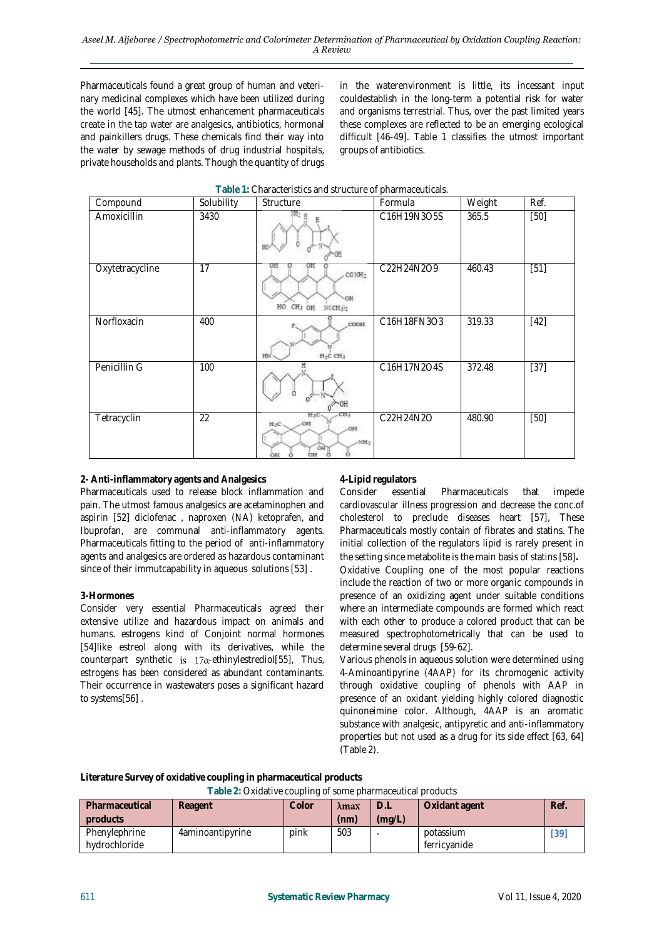Pharmaceuticals found a great group of human and veterinary medicinal complexes which have been utilized during the world [45]. The utmost enhancement pharmaceuticals create in the tap water are analgesics, antibiotics, hormonal and painkillers drugs. These chemicals find their way into the water by sewage methods of drug industrial hospitals, private households and plants. Though the quantity of drugs

in the waterenvironment is little, its incessant input couldestablish in the long-term a potential risk for water and organisms terrestrial. Thus, over the past limited years these complexes are reflected to be an emerging ecological difficult [46-49]. Table 1 classifies the utmost important groups of antibiotics.

| Compound        | Solubility | Structure                                                              | Formula     | Weight | Ref.   |
|-----------------|------------|------------------------------------------------------------------------|-------------|--------|--------|
| Amoxicillin     | 3430       |                                                                        | C16H19N3O5S | 365.5  | $[50]$ |
| Oxytetracycline | 17         | CONH <sub>7</sub><br>OH<br>CH <sub>3</sub> OH<br>HO.<br>$NCH_3$        | C22H24N2O9  | 460.43 | $[51]$ |
| Norfloxacin     | 400        | COOH<br>$H_2C$ CH <sub>3</sub>                                         | C16H18FN3O3 | 319.33 | $[42]$ |
| Penicillin G    | 100        |                                                                        | C16H17N2O4S | 372.48 | $[37]$ |
| Tetracyclin     | 22         | CH)<br>HyC<br>$H_3C$<br>$-001$<br>39H <sub>2</sub><br>OH.<br>car<br>OН | C22H24N2O   | 480.90 | $[50]$ |

## **Table 1:** Characteristics and structure of pharmaceuticals.

# **2- Anti-inflammatory agents and Analgesics**

Pharmaceuticals used to release block inflammation and pain. The utmost famous analgesics are acetaminophen and aspirin [52] diclofenac , naproxen (NA) ketoprafen, and Ibuprofan, are communal anti-inflammatory agents. Pharmaceuticals fitting to the period of anti-inflammatory agents and analgesics are ordered as hazardous contaminant since of their immutcapability in aqueous solutions [53] .

## **3-Hormones**

Consider very essential Pharmaceuticals agreed their extensive utilize and hazardous impact on animals and humans. estrogens kind of Conjoint normal hormones [54]like estreol along with its derivatives, while the counterpart synthetic is  $17\alpha$ -ethinylestrediol[55], Thus, estrogens has been considered as abundant contaminants. Their occurrence in wastewaters poses a significant hazard to systems[56] .

## **4-Lipid regulators**

Consider essential Pharmaceuticals that impede cardiovascular illness progression and decrease the conc.of cholesterol to preclude diseases heart [57], These Pharmaceuticals mostly contain of fibrates and statins. The initial collection of the regulators lipid is rarely present in the setting since metabolite is the main basis of statins [58]**.**

Oxidative Coupling one of the most popular reactions include the reaction of two or more organic compounds in presence of an oxidizing agent under suitable conditions where an intermediate compounds are formed which react with each other to produce a colored product that can be measured spectrophotometrically that can be used to determine several drugs [59-62].

Various phenols in aqueous solution were determined using 4-Aminoantipyrine (4AAP) for its chromogenic activity through oxidative coupling of phenols with AAP in presence of an oxidant yielding highly colored diagnostic quinoneimine color. Although, 4AAP is an aromatic substance with analgesic, antipyretic and anti-inflammatory properties but not used as a drug for its side effect [63, 64] [\(Table 2\)](https://www.sciencedirect.com/science/article/pii/S221334371830352X#tbl0005).

**Literature Survey of oxidative coupling in pharmaceutical products**

**Table 2:** Oxidative coupling of some pharmaceutical products

| Pharmaceutical | Reagent          | Color | λmax | $\bigcup$ | Oxidant agent | Ref. |
|----------------|------------------|-------|------|-----------|---------------|------|
| products       |                  |       | (nm) | (mq/L)    |               |      |
| Phenylephrine  | 4aminoantipyrine | pink  | 503  |           | potassium     | 391  |
| hydrochloride  |                  |       |      |           | ferricyanide  |      |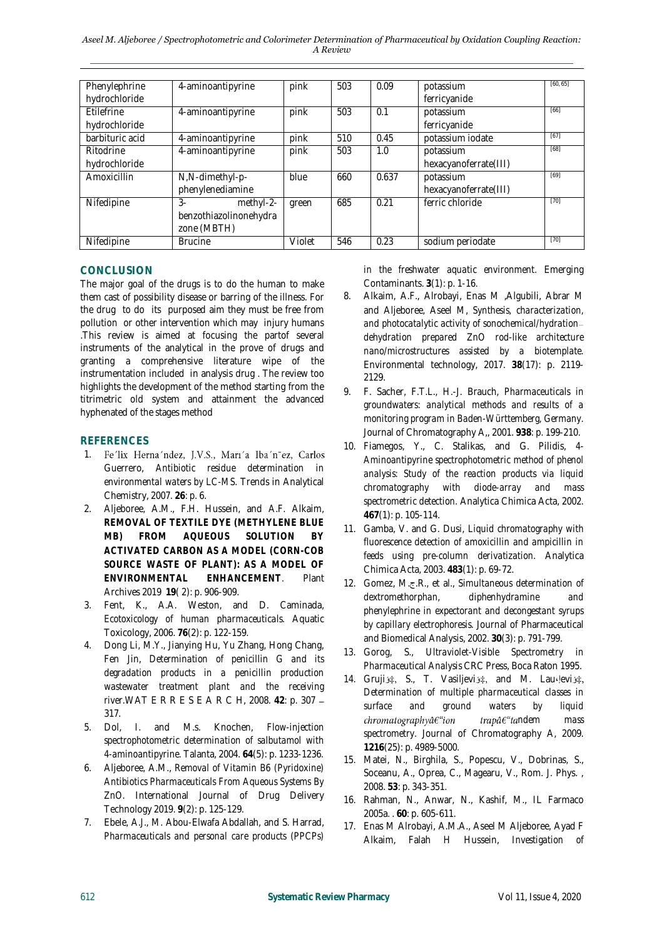| Phenylephrine     | 4-aminoantipyrine      | pink   | 503 | 0.09  | potassium             | [60, 65] |
|-------------------|------------------------|--------|-----|-------|-----------------------|----------|
| hydrochloride     |                        |        |     |       | ferricyanide          |          |
| <b>Etilefrine</b> | 4-aminoantipyrine      | pink   | 503 | 0.1   | potassium             | [66]     |
| hydrochloride     |                        |        |     |       | ferricyanide          |          |
| barbituric acid   | 4-aminoantipyrine      | pink   | 510 | 0.45  | potassium iodate      | [67]     |
| Ritodrine         | 4-aminoantipyrine      | pink   | 503 | 1.0   | potassium             | $[68]$   |
| hydrochloride     |                        |        |     |       | hexacyanoferrate(III) |          |
| Amoxicillin       | N,N-dimethyl-p-        | blue   | 660 | 0.637 | potassium             | [69]     |
|                   | phenylenediamine       |        |     |       | hexacyanoferrate(III) |          |
| Nifedipine        | $3-$<br>methyl-2-      | green  | 685 | 0.21  | ferric chloride       | $[70]$   |
|                   | benzothiazolinonehydra |        |     |       |                       |          |
|                   | zone (MBTH)            |        |     |       |                       |          |
| Nifedipine        | <b>Brucine</b>         | Violet | 546 | 0.23  | sodium periodate      | $[70]$   |

# **CONCLUSION**

The major goal of the drugs is to do the human to make them cast of possibility disease or barring of the illness. For the drug to do its purposed aim they must be free from pollution or other intervention which may injury humans .This review is aimed at focusing the partof several instruments of the analytical in the prove of drugs and granting a comprehensive literature wipe of the instrumentation included in analysis drug . The review too highlights the development of the method starting from the titrimetric old system and attainment the advanced hyphenated of the stages method

# **REFERENCES**

- 1. Fe'lix Herna'ndez, J.V.S., Marı'a Iba'n~ez, Carlos Guerrero, *Antibiotic residue determination in environmental waters by LC-MS.* Trends in Analytical Chemistry, 2007. **26**: p. 6.
- 2. Aljeboree, A.M., F.H. Hussein, and A.F. Alkaim, *REMOVAL OF TEXTILE DYE (METHYLENE BLUE MB) FROM AQUEOUS SOLUTION BY ACTIVATED CARBON AS A MODEL (CORN-COB SOURCE WASTE OF PLANT): AS A MODEL OF ENVIRONMENTAL ENHANCEMENT.* Plant Archives 2019 **19**( 2): p. 906-909.
- 3. Fent, K., A.A. Weston, and D. Caminada, *Ecotoxicology of human pharmaceuticals.* Aquatic Toxicology, 2006. **76**(2): p. 122-159.
- 4. Dong Li, M.Y., Jianying Hu, Yu Zhang, Hong Chang, Fen Jin, *Determination of penicillin G and its degradation products in a penicillin production wastewater treatment plant and the receiving river.*WAT E R R E S E A R C H, 2008. **42**: p. 307 317.
- 5. Dol, I. and M.s. Knochen, *Flow-injection spectrophotometric determination of salbutamol with 4-aminoantipyrine.* Talanta, 2004. **64**(5): p. 1233-1236.
- 6. Aljeboree, A.M., *Removal of Vitamin B6 (Pyridoxine) Antibiotics Pharmaceuticals From Aqueous Systems By ZnO.* International Journal of Drug Delivery Technology 2019. **9**(2): p. 125-129.
- 7. Ebele, A.J., M. Abou-Elwafa Abdallah, and S. Harrad, *Pharmaceuticals and personal care products (PPCPs)*

*in the freshwater aquatic environment.* Emerging Contaminants. **3**(1): p. 1-16.

- 8. Alkaim, A.F., Alrobayi, Enas M ,Algubili, Abrar M and Aljeboree, Aseel M, *Synthesis, characterization, and photocatalytic activity of sonochemical/hydration dehydration prepared ZnO rod-like architecture nano/microstructures assisted by a biotemplate.* Environmental technology, 2017. **38**(17): p. 2119- 2129.
- 9. F. Sacher, F.T.L., H.-J. Brauch, *Pharmaceuticals in groundwaters: analytical methods and results of a monitoring program in Baden-Württemberg, Germany.* Journal of Chromatography A,, 2001. **938**: p. 199-210.
- 10. Fiamegos, Y., C. Stalikas, and G. Pilidis, *4- Aminoantipyrine spectrophotometric method of phenol analysis: Study of the reaction products via liquid chromatography with diode-array and mass spectrometric detection.* Analytica Chimica Acta, 2002. **467**(1): p. 105-114.
- 11. Gamba, V. and G. Dusi, *Liquid chromatography with fluorescence detection of amoxicillin and ampicillin in feeds using pre-column derivatization.* Analytica Chimica Acta, 2003. **483**(1): p. 69-72.
- 12. Gomez, M.ج.R., et al., *Simultaneous determination of dextromethorphan, diphenhydramine and phenylephrine in expectorant and decongestant syrups by capillary electrophoresis.* Journal of Pharmaceutical and Biomedical Analysis, 2002. **30**(3): p. 791-799.
- *13.* Gorog, S., *Ultraviolet-Visible Spectrometry in Pharmaceutical Analysis* CRC Press, Boca Raton 1995.
- 14. Grujiš S., T. Vasiljeviš , and M. Lau $\psi$ eviš , *Determination of multiple pharmaceutical classes in surface and ground waters by liquid*   $chromatography \hat{a} \epsilon$ "ion trapâ€<sup>"</sup>tandem mass *spectrometry.* Journal of Chromatography A, 2009. **1216**(25): p. 4989-5000.
- 15. Matei, N., Birghila, S., Popescu, V., Dobrinas, S., Soceanu, A., Oprea, C., Magearu, V., Rom. J. Phys. , 2008. **53**: p. 343-351.
- 16. Rahman, N., Anwar, N., Kashif, M., IL Farmaco 2005a. . **60**: p. 605-611.
- 17. Enas M Alrobayi, A.M.A., Aseel M Aljeboree, Ayad F Alkaim, Falah H Hussein, *Investigation of*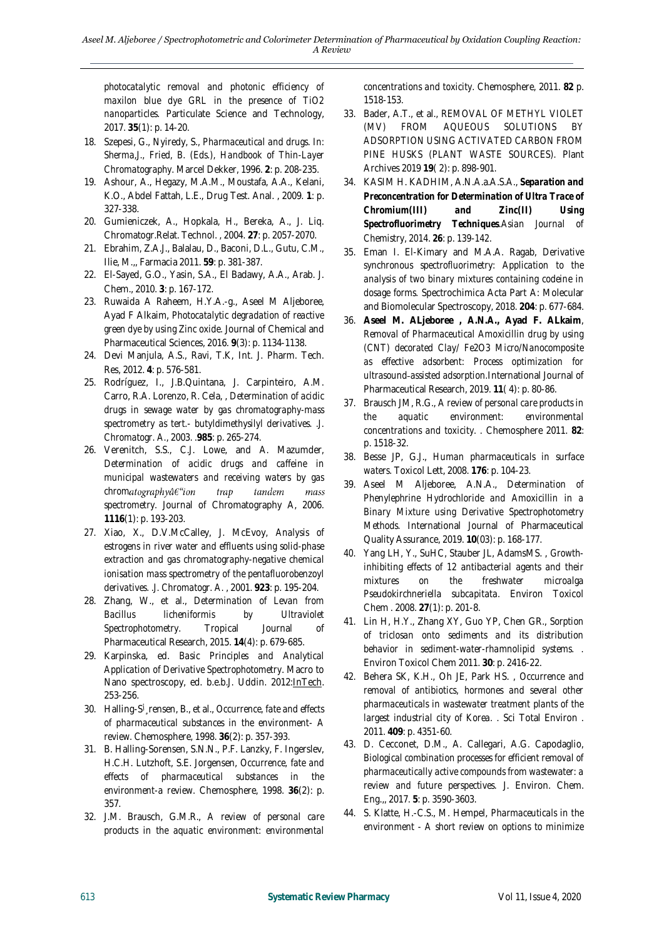*photocatalytic removal and photonic efficiency of maxilon blue dye GRL in the presence of TiO2 nanoparticles.* Particulate Science and Technology, 2017. **35**(1): p. 14-20.

- 18. Szepesi, G., Nyiredy, S., *Pharmaceutical and drugs. In: Sherma,J., Fried, B. (Eds.), Handbook of Thin-Layer Chromatography.* Marcel Dekker, 1996. **2**: p. 208-235.
- 19. Ashour, A., Hegazy, M.A.M., Moustafa, A.A., Kelani, K.O., Abdel Fattah, L.E., Drug Test. Anal. , 2009. **1**: p. 327-338.
- 20. Gumieniczek, A., Hopkala, H., Bereka, A., J. Liq. Chromatogr.Relat. Technol. , 2004. **27**: p. 2057-2070.
- 21. Ebrahim, Z.A.J., Balalau, D., Baconi, D.L., Gutu, C.M., Ilie, M.,, Farmacia 2011. **59**: p. 381-387.
- 22. El-Sayed, G.O., Yasin, S.A., El Badawy, A.A., Arab. J. Chem., 2010. **3**: p. 167-172.
- 23. Ruwaida A Raheem, H.Y.A.-g., Aseel M Aljeboree, Ayad F Alkaim, *Photocatalytic degradation of reactive green dye by using Zinc oxide.* Journal of Chemical and Pharmaceutical Sciences, 2016. **9**(3): p. 1134-1138.
- 24. Devi Manjula, A.S., Ravi, T.K, Int. J. Pharm. Tech. Res, 2012. **4**: p. 576-581.
- 25. Rodríguez, I., J.B.Quintana, J. Carpinteiro, A.M. Carro, R.A. Lorenzo, R. Cela, , *Determination of acidic drugs in sewage water by gas chromatography-mass spectrometry as tert.- butyldimethysilyl derivatives. .J. Chromatogr. A.*, 2003. .**985**: p. 265-274.
- 26. Verenitch, S.S., C.J. Lowe, and A. Mazumder, *Determination of acidic drugs and caffeine in municipal wastewaters and receiving waters by gas chrom* trap tandem mass *spectrometry.* Journal of Chromatography A, 2006. **1116**(1): p. 193-203.
- *27.* Xiao, X., D.V.McCalley, J. McEvoy, *Analysis of estrogens in river water and effluents using solid-phase extraction and gas chromatography-negative chemical ionisation mass spectrometry of the pentafluorobenzoyl derivatives. .J. Chromatogr. A.* , 2001. **923**: p. 195-204.
- 28. Zhang, W., et al., *Determination of Levan from Bacillus licheniformis by Ultraviolet Spectrophotometry.* Tropical Journal of Pharmaceutical Research, 2015. **14**(4): p. 679-685.
- 29. Karpinska, ed. *Basic Principles and Analytical Application of Derivative Spectrophotometry*. Macro to Nano spectroscopy, ed. b.e.b.J. Uddin. 2012: InTech. 253-256.
- 30. Halling-Sأ̧rensen, B., et al., *Occurrence, fate and effects of pharmaceutical substances in the environment- A review.* Chemosphere, 1998. **36**(2): p. 357-393.
- 31. B. Halling-Sorensen, S.N.N., P.F. Lanzky, F. Ingerslev, H.C.H. Lutzhoft, S.E. Jorgensen, *Occurrence, fate and effects of pharmaceutical substances in the environment-a review.* Chemosphere, 1998. **36**(2): p. 357.
- 32. J.M. Brausch, G.M.R., *A review of personal care products in the aquatic environment: environmental*

*concentrations and toxicity.* Chemosphere, 2011. **82** p. 1518-153.

- 33. Bader, A.T., et al., *REMOVAL OF METHYL VIOLET (MV) FROM AQUEOUS SOLUTIONS BY ADSORPTION USING ACTIVATED CARBON FROM PINE HUSKS (PLANT WASTE SOURCES).* Plant Archives 2019 **19**( 2): p. 898-901.
- 34. KASIM H. KADHIM, A.N.A.a.A.S.A., *Separation and Preconcentration for Determination of Ultra Trace of Chromium(III) and Zinc(II) Using Spectrofluorimetry Techniques.Asian Journal of Chemistry*, *2014*. *26*: p. *139-142*.
- 35. Eman I. El-Kimary and M.A.A. Ragab, *Derivative synchronous spectrofluorimetry: Application to the analysis of two binary mixtures containing codeine in dosage forms.* Spectrochimica Acta Part A: Molecular and Biomolecular Spectroscopy, 2018. **204**: p. 677-684.
- 36. **Aseel M. ALjeboree , A.N.A., Ayad F. ALkaim**, *Removal of Pharmaceutical Amoxicillin drug by using (CNT) decorated Clay/ Fe2O3 Micro/Nanocomposite as effective adsorbent: Process optimization for ultrasound‐assisted adsorption.*International Journal of Pharmaceutical Research, 2019. **11**( 4): p. 80-86.
- 37. Brausch JM, R.G., *A review of personal care products in the aquatic environment: environmental concentrations and toxicity. .* Chemosphere 2011. **82**: p. 1518-32.
- 38. Besse JP, G.J., *Human pharmaceuticals in surface waters.* Toxicol Lett, 2008. **176**: p. 104-23.
- 39. Aseel M Aljeboree, A.N.A., *Determination of Phenylephrine Hydrochloride and Amoxicillin in a Binary Mixture using Derivative Spectrophotometry Methods.* International Journal of Pharmaceutical Quality Assurance, 2019. **10**(03): p. 168-177.
- *40.* Yang LH, Y., SuHC, Stauber JL, AdamsMS. , *Growthinhibiting effects of 12 antibacterial agents and their mixtures on the freshwater microalga Pseudokirchneriella subcapitata.* Environ Toxicol Chem . 2008. **27**(1): p. 201-8.
- 41. Lin H, H.Y., Zhang XY, Guo YP, Chen GR., *Sorption of triclosan onto sediments and its distribution behavior in sediment-water-rhamnolipid systems. .* Environ Toxicol Chem 2011. **30**: p. 2416-22.
- 42. Behera SK, K.H., Oh JE, Park HS. , *Occurrence and removal of antibiotics, hormones and several other pharmaceuticals in wastewater treatment plants of the largest industrial city of Korea. .* Sci Total Environ . 2011. **409**: p. 4351-60.
- 43. D. Cecconet, D.M., A. Callegari, A.G. Capodaglio, *Biological combination processes for efficient removal of pharmaceutically active compounds from wastewater: a review and future perspectives.* J. Environ. Chem. Eng.,, 2017. **5**: p. 3590-3603.
- 44. S. Klatte, H.-C.S., M. Hempel, *Pharmaceuticals in the environment - A short review on options to minimize*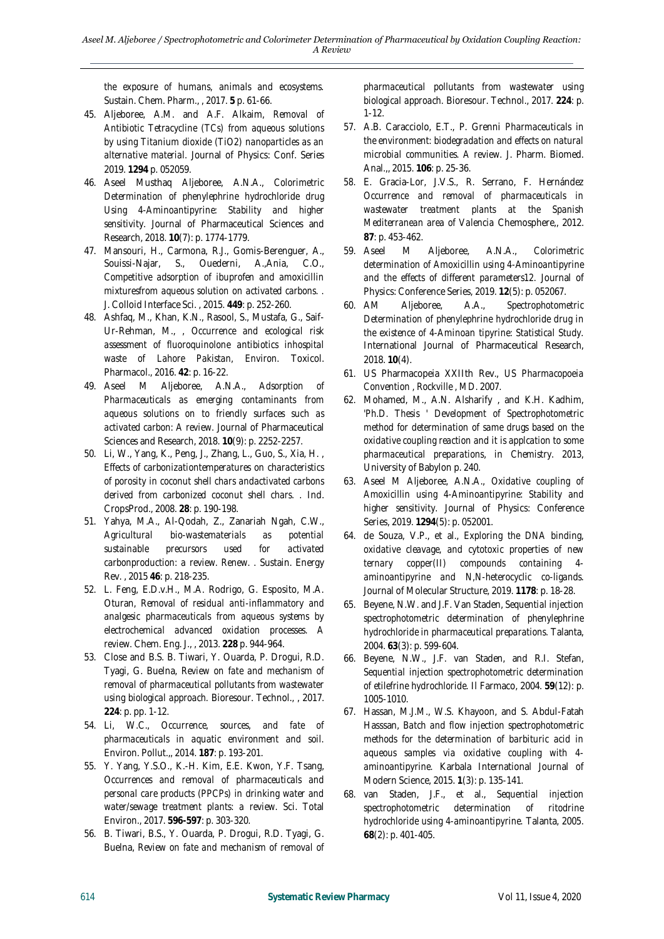*the exposure of humans, animals and ecosystems.* Sustain. Chem. Pharm., , 2017. **5** p. 61-66.

- 45. Aljeboree, A.M. and A.F. Alkaim, *Removal of Antibiotic Tetracycline (TCs) from aqueous solutions by using Titanium dioxide (TiO2) nanoparticles as an alternative material.* Journal of Physics: Conf. Series 2019. **1294** p. 052059.
- 46. Aseel Musthaq Aljeboree, A.N.A., *Colorimetric Determination of phenylephrine hydrochloride drug Using 4-Aminoantipyrine: Stability and higher sensitivity.* Journal of Pharmaceutical Sciences and Research, 2018. **10**(7): p. 1774-1779.
- 47. Mansouri, H., Carmona, R.J., Gomis-Berenguer, A., Souissi-Najar, S., Ouederni, A.,Ania, C.O., *Competitive adsorption of ibuprofen and amoxicillin mixturesfrom aqueous solution on activated carbons. .* J. Colloid Interface Sci. , 2015. **449**: p. 252-260.
- 48. Ashfaq, M., Khan, K.N., Rasool, S., Mustafa, G., Saif-Ur-Rehman, M., , *Occurrence and ecological risk assessment of fluoroquinolone antibiotics inhospital waste of Lahore Pakistan, Environ.* Toxicol. Pharmacol., 2016. **42**: p. 16-22.
- 49. Aseel M Aljeboree, A.N.A., *Adsorption of Pharmaceuticals as emerging contaminants from aqueous solutions on to friendly surfaces such as activated carbon: A review.* Journal of Pharmaceutical Sciences and Research, 2018. **10**(9): p. 2252-2257.
- 50. Li, W., Yang, K., Peng, J., Zhang, L., Guo, S., Xia, H. , *Effects of carbonizationtemperatures on characteristics of porosity in coconut shell chars andactivated carbons derived from carbonized coconut shell chars. .* Ind. CropsProd., 2008. **28**: p. 190-198.
- 51. Yahya, M.A., Al-Qodah, Z., Zanariah Ngah, C.W., *Agricultural bio-wastematerials as potential sustainable precursors used for activated carbonproduction: a review. Renew. .* Sustain. Energy Rev. , 2015 **46**: p. 218-235.
- 52. L. Feng, E.D.v.H., M.A. Rodrigo, G. Esposito, M.A. Oturan, *Removal of residual anti-inflammatory and analgesic pharmaceuticals from aqueous systems by electrochemical advanced oxidation processes. A review.* Chem. Eng. J., , 2013. **228** p. 944-964.
- 53. Close and B.S. B. Tiwari, Y. Ouarda, P. Drogui, R.D. Tyagi, G. Buelna, *Review on fate and mechanism of removal of pharmaceutical pollutants from wastewater using biological approach.* Bioresour. Technol., , 2017. **224**: p. pp. 1-12.
- 54. Li, W.C., *Occurrence, sources, and fate of pharmaceuticals in aquatic environment and soil.* Environ. Pollut.,, 2014. **187**: p. 193-201.
- 55. Y. Yang, Y.S.O., K.-H. Kim, E.E. Kwon, Y.F. Tsang, *Occurrences and removal of pharmaceuticals and personal care products (PPCPs) in drinking water and water/sewage treatment plants: a review.* Sci. Total Environ., 2017. **596-597**: p. 303-320.
- 56. B. Tiwari, B.S., Y. Ouarda, P. Drogui, R.D. Tyagi, G. Buelna, *Review on fate and mechanism of removal of*

*pharmaceutical pollutants from wastewater using biological approach.* Bioresour. Technol., 2017. **224**: p. 1-12.

- 57. A.B. Caracciolo, E.T., P. Grenni *Pharmaceuticals in the environment: biodegradation and effects on natural microbial communities. A review.* J. Pharm. Biomed. Anal.,, 2015. **106**: p. 25-36.
- *58.* E. Gracia-Lor, J.V.S., R. Serrano, F. Hernández *Occurrence and removal of pharmaceuticals in wastewater treatment plants at the Spanish Mediterranean area of Valencia* Chemosphere,, 2012. **87**: p. 453-462.
- 59. Aseel M Aljeboree, A.N.A., *Colorimetric determination of Amoxicillin using 4-Aminoantipyrine and the effects of different parameters12.* Journal of Physics: Conference Series, 2019. **12**(5): p. 052067.
- 60. AM Aljeboree, A.A., *Spectrophotometric Determination of phenylephrine hydrochloride drug in the existence of 4-Aminoan tipyrine: Statistical Study.* International Journal of Pharmaceutical Research, 2018. **10**(4).
- 61. US Pharmacopeia XXIIth Rev., *US Pharmacopoeia Convention , Rockville , MD*. 2007.
- 62. Mohamed, M., A.N. Alsharify , and K.H. Kadhim, *'Ph.D. Thesis ' Development of Spectrophotometric method for determination of same drugs based on the oxidative coupling reaction and it is applcation to some pharmaceutical preparations*, in *Chemistry*. 2013, University of Babylon p. 240.
- 63. Aseel M Aljeboree, A.N.A., *Oxidative coupling of Amoxicillin using 4-Aminoantipyrine: Stability and higher sensitivity.* Journal of Physics: Conference Series, 2019. **1294**(5): p. 052001.
- 64. de Souza, V.P., et al., *Exploring the DNA binding, oxidative cleavage, and cytotoxic properties of new ternary copper(II) compounds containing 4 aminoantipyrine and N,N-heterocyclic co-ligands.* Journal of Molecular Structure, 2019. **1178**: p. 18-28.
- 65. Beyene, N.W. and J.F. Van Staden, *Sequential injection spectrophotometric determination of phenylephrine hydrochloride in pharmaceutical preparations.* Talanta, 2004. **63**(3): p. 599-604.
- 66. Beyene, N.W., J.F. van Staden, and R.I. Stefan, *Sequential injection spectrophotometric determination of etilefrine hydrochloride.* Il Farmaco, 2004. **59**(12): p. 1005-1010.
- 67. Hassan, M.J.M., W.S. Khayoon, and S. Abdul-Fatah Hasssan, *Batch and flow injection spectrophotometric methods for the determination of barbituric acid in aqueous samples via oxidative coupling with 4 aminoantipyrine.* Karbala International Journal of Modern Science, 2015. **1**(3): p. 135-141.
- 68. van Staden, J.F., et al., *Sequential injection spectrophotometric determination of ritodrine hydrochloride using 4-aminoantipyrine.* Talanta, 2005. **68**(2): p. 401-405.